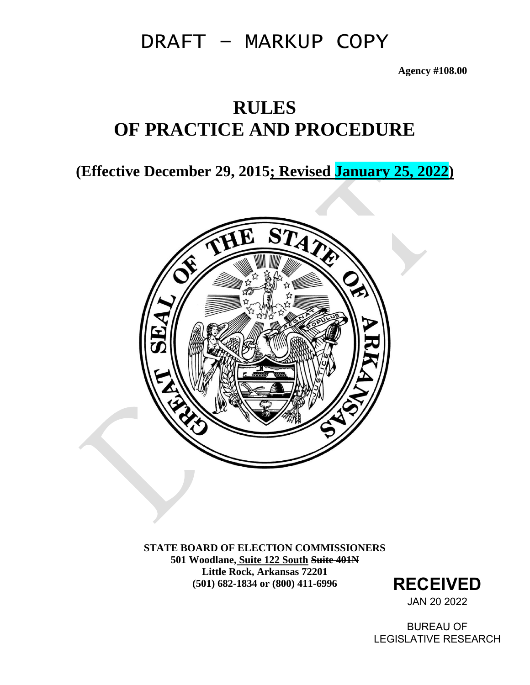# DRAFT – MARKUP COPY

**Agency #108.00**

# **RULES OF PRACTICE AND PROCEDURE**

**(Effective December 29, 2015; Revised January 25, 2022)**



**STATE BOARD OF ELECTION COMMISSIONERS 501 Woodlane, Suite 122 South Suite 401N Little Rock, Arkansas 72201 (501) 682-1834 or (800) 411-6996 RECEIVED**

JAN 20 2022

BUREAU OF LEGISLATIVE RESEARCH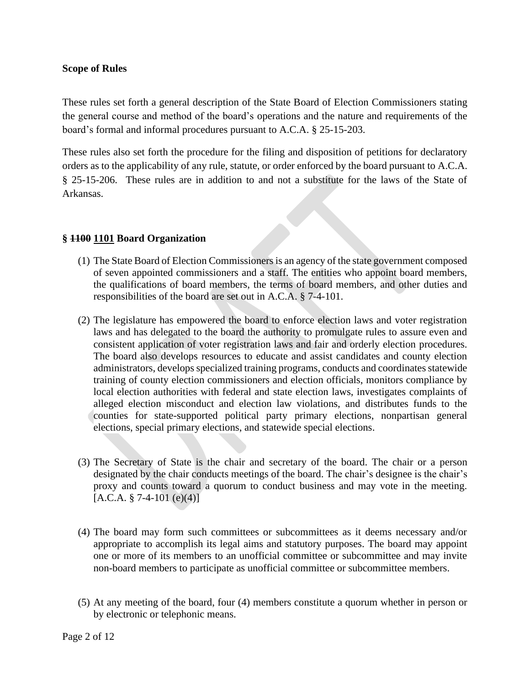#### **Scope of Rules**

These rules set forth a general description of the State Board of Election Commissioners stating the general course and method of the board's operations and the nature and requirements of the board's formal and informal procedures pursuant to A.C.A. § 25-15-203.

These rules also set forth the procedure for the filing and disposition of petitions for declaratory orders as to the applicability of any rule, statute, or order enforced by the board pursuant to A.C.A. § 25-15-206. These rules are in addition to and not a substitute for the laws of the State of Arkansas.

#### **§ 1100 1101 Board Organization**

- (1) The State Board of Election Commissioners is an agency of the state government composed of seven appointed commissioners and a staff. The entities who appoint board members, the qualifications of board members, the terms of board members, and other duties and responsibilities of the board are set out in A.C.A. § 7-4-101.
- (2) The legislature has empowered the board to enforce election laws and voter registration laws and has delegated to the board the authority to promulgate rules to assure even and consistent application of voter registration laws and fair and orderly election procedures. The board also develops resources to educate and assist candidates and county election administrators, develops specialized training programs, conducts and coordinates statewide training of county election commissioners and election officials, monitors compliance by local election authorities with federal and state election laws, investigates complaints of alleged election misconduct and election law violations, and distributes funds to the counties for state-supported political party primary elections, nonpartisan general elections, special primary elections, and statewide special elections.
- (3) The Secretary of State is the chair and secretary of the board. The chair or a person designated by the chair conducts meetings of the board. The chair's designee is the chair's proxy and counts toward a quorum to conduct business and may vote in the meeting.  $[A.C.A. § 7-4-101 (e)(4)]$
- (4) The board may form such committees or subcommittees as it deems necessary and/or appropriate to accomplish its legal aims and statutory purposes. The board may appoint one or more of its members to an unofficial committee or subcommittee and may invite non-board members to participate as unofficial committee or subcommittee members.
- (5) At any meeting of the board, four (4) members constitute a quorum whether in person or by electronic or telephonic means.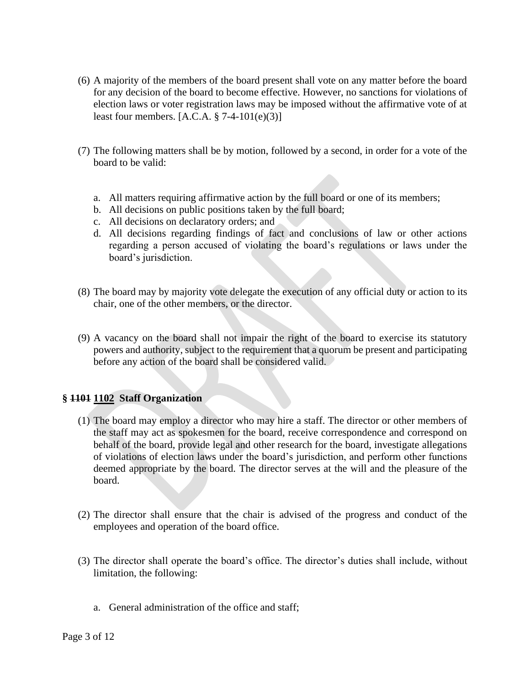- (6) A majority of the members of the board present shall vote on any matter before the board for any decision of the board to become effective. However, no sanctions for violations of election laws or voter registration laws may be imposed without the affirmative vote of at least four members. [A.C.A. § 7-4-101(e)(3)]
- (7) The following matters shall be by motion, followed by a second, in order for a vote of the board to be valid:
	- a. All matters requiring affirmative action by the full board or one of its members;
	- b. All decisions on public positions taken by the full board;
	- c. All decisions on declaratory orders; and
	- d. All decisions regarding findings of fact and conclusions of law or other actions regarding a person accused of violating the board's regulations or laws under the board's jurisdiction.
- (8) The board may by majority vote delegate the execution of any official duty or action to its chair, one of the other members, or the director.
- (9) A vacancy on the board shall not impair the right of the board to exercise its statutory powers and authority, subject to the requirement that a quorum be present and participating before any action of the board shall be considered valid.

#### **§ 1101 1102 Staff Organization**

- (1) The board may employ a director who may hire a staff. The director or other members of the staff may act as spokesmen for the board, receive correspondence and correspond on behalf of the board, provide legal and other research for the board, investigate allegations of violations of election laws under the board's jurisdiction, and perform other functions deemed appropriate by the board. The director serves at the will and the pleasure of the board.
- (2) The director shall ensure that the chair is advised of the progress and conduct of the employees and operation of the board office.
- (3) The director shall operate the board's office. The director's duties shall include, without limitation, the following:
	- a. General administration of the office and staff;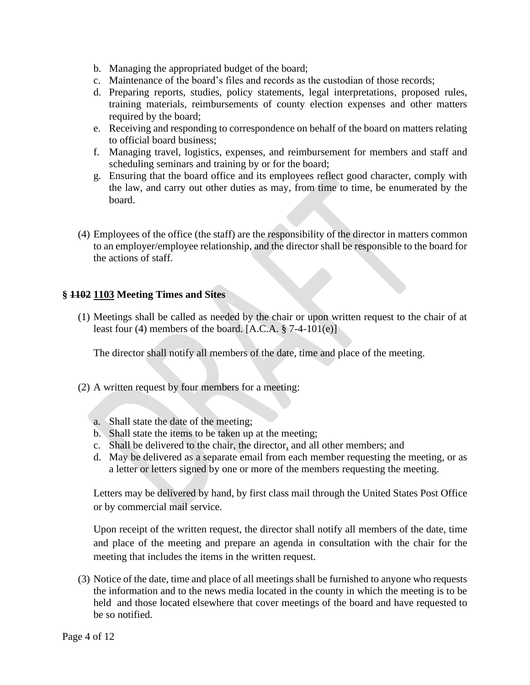- b. Managing the appropriated budget of the board;
- c. Maintenance of the board's files and records as the custodian of those records;
- d. Preparing reports, studies, policy statements, legal interpretations, proposed rules, training materials, reimbursements of county election expenses and other matters required by the board;
- e. Receiving and responding to correspondence on behalf of the board on matters relating to official board business;
- f. Managing travel, logistics, expenses, and reimbursement for members and staff and scheduling seminars and training by or for the board;
- g. Ensuring that the board office and its employees reflect good character, comply with the law, and carry out other duties as may, from time to time, be enumerated by the board.
- (4) Employees of the office (the staff) are the responsibility of the director in matters common to an employer/employee relationship, and the director shall be responsible to the board for the actions of staff.

#### **§ 1102 1103 Meeting Times and Sites**

(1) Meetings shall be called as needed by the chair or upon written request to the chair of at least four (4) members of the board.  $[A.C.A. § 7-4-101(e)]$ 

The director shall notify all members of the date, time and place of the meeting.

- (2) A written request by four members for a meeting:
	- a. Shall state the date of the meeting;
	- b. Shall state the items to be taken up at the meeting;
	- c. Shall be delivered to the chair, the director, and all other members; and
	- d. May be delivered as a separate email from each member requesting the meeting, or as a letter or letters signed by one or more of the members requesting the meeting.

Letters may be delivered by hand, by first class mail through the United States Post Office or by commercial mail service.

Upon receipt of the written request, the director shall notify all members of the date, time and place of the meeting and prepare an agenda in consultation with the chair for the meeting that includes the items in the written request.

(3) Notice of the date, time and place of all meetings shall be furnished to anyone who requests the information and to the news media located in the county in which the meeting is to be held and those located elsewhere that cover meetings of the board and have requested to be so notified.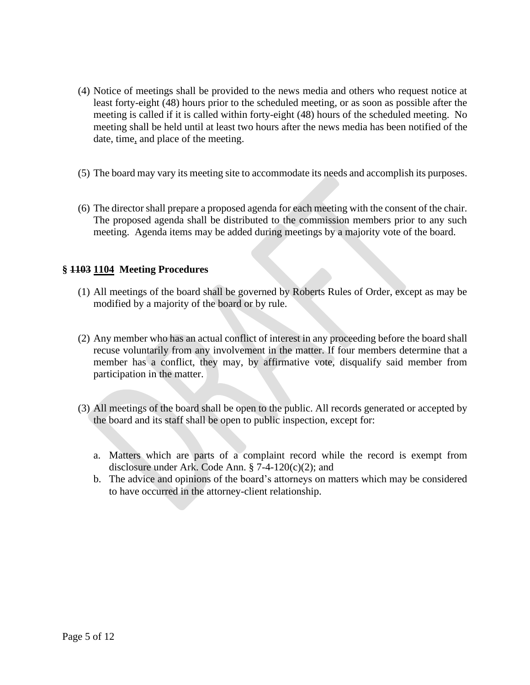- (4) Notice of meetings shall be provided to the news media and others who request notice at least forty-eight (48) hours prior to the scheduled meeting, or as soon as possible after the meeting is called if it is called within forty-eight (48) hours of the scheduled meeting. No meeting shall be held until at least two hours after the news media has been notified of the date, time, and place of the meeting.
- (5) The board may vary its meeting site to accommodate its needs and accomplish its purposes.
- (6) The director shall prepare a proposed agenda for each meeting with the consent of the chair. The proposed agenda shall be distributed to the commission members prior to any such meeting. Agenda items may be added during meetings by a majority vote of the board.

#### **§ 1103 1104 Meeting Procedures**

- (1) All meetings of the board shall be governed by Roberts Rules of Order, except as may be modified by a majority of the board or by rule.
- (2) Any member who has an actual conflict of interest in any proceeding before the board shall recuse voluntarily from any involvement in the matter. If four members determine that a member has a conflict, they may, by affirmative vote, disqualify said member from participation in the matter.
- (3) All meetings of the board shall be open to the public. All records generated or accepted by the board and its staff shall be open to public inspection, except for:
	- a. Matters which are parts of a complaint record while the record is exempt from disclosure under Ark. Code Ann.  $\S$  7-4-120(c)(2); and
	- b. The advice and opinions of the board's attorneys on matters which may be considered to have occurred in the attorney-client relationship.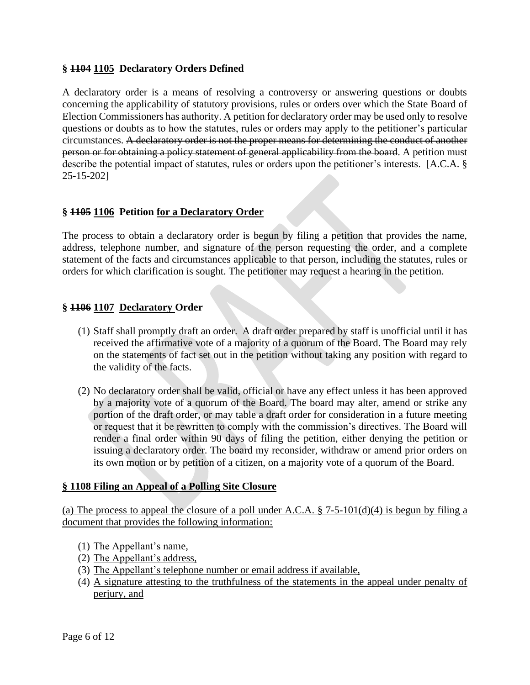#### **§ 1104 1105 Declaratory Orders Defined**

A declaratory order is a means of resolving a controversy or answering questions or doubts concerning the applicability of statutory provisions, rules or orders over which the State Board of Election Commissioners has authority. A petition for declaratory order may be used only to resolve questions or doubts as to how the statutes, rules or orders may apply to the petitioner's particular circumstances. A declaratory order is not the proper means for determining the conduct of another person or for obtaining a policy statement of general applicability from the board. A petition must describe the potential impact of statutes, rules or orders upon the petitioner's interests. [A.C.A. § 25-15-202]

#### **§ 1105 1106 Petition for a Declaratory Order**

The process to obtain a declaratory order is begun by filing a petition that provides the name, address, telephone number, and signature of the person requesting the order, and a complete statement of the facts and circumstances applicable to that person, including the statutes, rules or orders for which clarification is sought. The petitioner may request a hearing in the petition.

#### **§ 1106 1107 Declaratory Order**

- (1) Staff shall promptly draft an order. A draft order prepared by staff is unofficial until it has received the affirmative vote of a majority of a quorum of the Board. The Board may rely on the statements of fact set out in the petition without taking any position with regard to the validity of the facts.
- (2) No declaratory order shall be valid, official or have any effect unless it has been approved by a majority vote of a quorum of the Board. The board may alter, amend or strike any portion of the draft order, or may table a draft order for consideration in a future meeting or request that it be rewritten to comply with the commission's directives. The Board will render a final order within 90 days of filing the petition, either denying the petition or issuing a declaratory order. The board my reconsider, withdraw or amend prior orders on its own motion or by petition of a citizen, on a majority vote of a quorum of the Board.

#### **§ 1108 Filing an Appeal of a Polling Site Closure**

(a) The process to appeal the closure of a poll under A.C.A.  $\S$  7-5-101(d)(4) is begun by filing a document that provides the following information:

- (1) The Appellant's name,
- (2) The Appellant's address,
- (3) The Appellant's telephone number or email address if available,
- (4) A signature attesting to the truthfulness of the statements in the appeal under penalty of perjury, and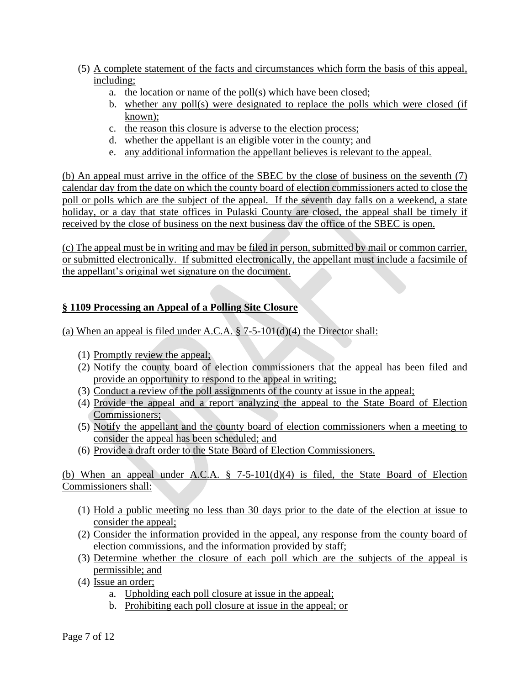- (5) A complete statement of the facts and circumstances which form the basis of this appeal, including;
	- a. the location or name of the poll(s) which have been closed;
	- b. whether any poll(s) were designated to replace the polls which were closed (if known);
	- c. the reason this closure is adverse to the election process;
	- d. whether the appellant is an eligible voter in the county; and
	- e. any additional information the appellant believes is relevant to the appeal.

(b) An appeal must arrive in the office of the SBEC by the close of business on the seventh (7) calendar day from the date on which the county board of election commissioners acted to close the poll or polls which are the subject of the appeal. If the seventh day falls on a weekend, a state holiday, or a day that state offices in Pulaski County are closed, the appeal shall be timely if received by the close of business on the next business day the office of the SBEC is open.

(c) The appeal must be in writing and may be filed in person, submitted by mail or common carrier, or submitted electronically. If submitted electronically, the appellant must include a facsimile of the appellant's original wet signature on the document.

## **§ 1109 Processing an Appeal of a Polling Site Closure**

(a) When an appeal is filed under A.C.A.  $\S$  7-5-101(d)(4) the Director shall:

- (1) Promptly review the appeal;
- (2) Notify the county board of election commissioners that the appeal has been filed and provide an opportunity to respond to the appeal in writing;
- (3) Conduct a review of the poll assignments of the county at issue in the appeal;
- (4) Provide the appeal and a report analyzing the appeal to the State Board of Election Commissioners;
- (5) Notify the appellant and the county board of election commissioners when a meeting to consider the appeal has been scheduled; and
- (6) Provide a draft order to the State Board of Election Commissioners.

(b) When an appeal under A.C.A. § 7-5-101(d)(4) is filed, the State Board of Election Commissioners shall:

- (1) Hold a public meeting no less than 30 days prior to the date of the election at issue to consider the appeal;
- (2) Consider the information provided in the appeal, any response from the county board of election commissions, and the information provided by staff;
- (3) Determine whether the closure of each poll which are the subjects of the appeal is permissible; and
- (4) Issue an order;
	- a. Upholding each poll closure at issue in the appeal;
	- b. Prohibiting each poll closure at issue in the appeal; or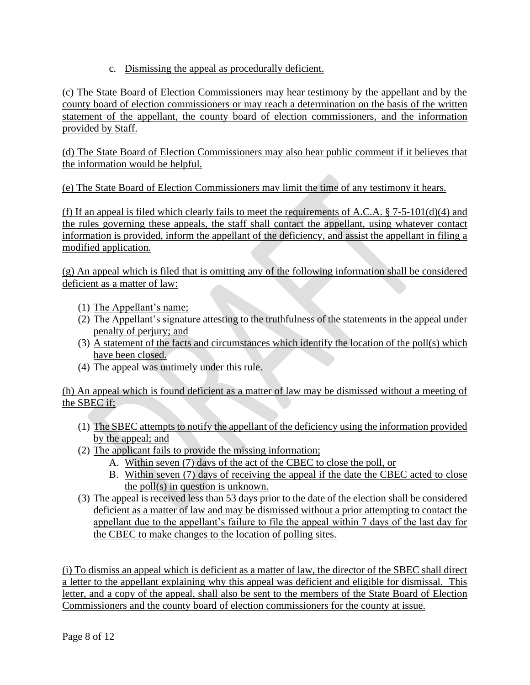c. Dismissing the appeal as procedurally deficient.

(c) The State Board of Election Commissioners may hear testimony by the appellant and by the county board of election commissioners or may reach a determination on the basis of the written statement of the appellant, the county board of election commissioners, and the information provided by Staff.

(d) The State Board of Election Commissioners may also hear public comment if it believes that the information would be helpful.

(e) The State Board of Election Commissioners may limit the time of any testimony it hears.

(f) If an appeal is filed which clearly fails to meet the requirements of A.C.A.  $\S$  7-5-101(d)(4) and the rules governing these appeals, the staff shall contact the appellant, using whatever contact information is provided, inform the appellant of the deficiency, and assist the appellant in filing a modified application.

(g) An appeal which is filed that is omitting any of the following information shall be considered deficient as a matter of law:

- (1) The Appellant's name;
- (2) The Appellant's signature attesting to the truthfulness of the statements in the appeal under penalty of perjury; and
- (3) A statement of the facts and circumstances which identify the location of the poll(s) which have been closed.
- (4) The appeal was untimely under this rule.

(h) An appeal which is found deficient as a matter of law may be dismissed without a meeting of the SBEC if;

- (1) The SBEC attempts to notify the appellant of the deficiency using the information provided by the appeal; and
- (2) The applicant fails to provide the missing information;
	- A. Within seven (7) days of the act of the CBEC to close the poll, or
	- B. Within seven (7) days of receiving the appeal if the date the CBEC acted to close the poll(s) in question is unknown.
- (3) The appeal is received less than 53 days prior to the date of the election shall be considered deficient as a matter of law and may be dismissed without a prior attempting to contact the appellant due to the appellant's failure to file the appeal within 7 days of the last day for the CBEC to make changes to the location of polling sites.

(i) To dismiss an appeal which is deficient as a matter of law, the director of the SBEC shall direct a letter to the appellant explaining why this appeal was deficient and eligible for dismissal. This letter, and a copy of the appeal, shall also be sent to the members of the State Board of Election Commissioners and the county board of election commissioners for the county at issue.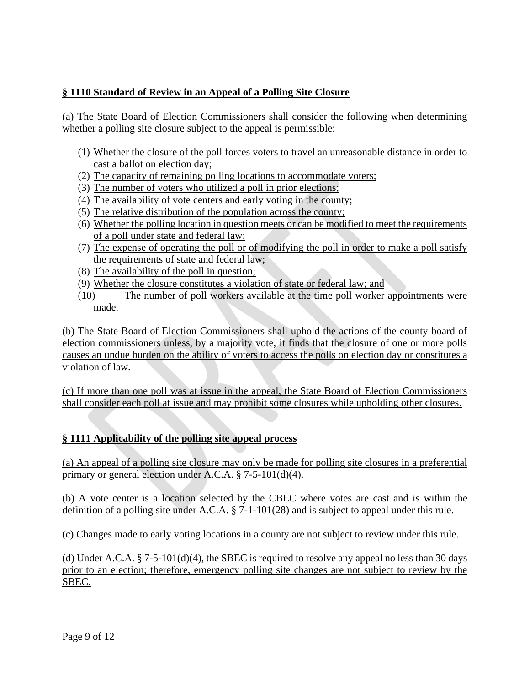## **§ 1110 Standard of Review in an Appeal of a Polling Site Closure**

(a) The State Board of Election Commissioners shall consider the following when determining whether a polling site closure subject to the appeal is permissible:

- (1) Whether the closure of the poll forces voters to travel an unreasonable distance in order to cast a ballot on election day;
- (2) The capacity of remaining polling locations to accommodate voters;
- (3) The number of voters who utilized a poll in prior elections;
- (4) The availability of vote centers and early voting in the county;
- (5) The relative distribution of the population across the county;
- (6) Whether the polling location in question meets or can be modified to meet the requirements of a poll under state and federal law;
- (7) The expense of operating the poll or of modifying the poll in order to make a poll satisfy the requirements of state and federal law;
- (8) The availability of the poll in question;
- (9) Whether the closure constitutes a violation of state or federal law; and
- (10) The number of poll workers available at the time poll worker appointments were made.

(b) The State Board of Election Commissioners shall uphold the actions of the county board of election commissioners unless, by a majority vote, it finds that the closure of one or more polls causes an undue burden on the ability of voters to access the polls on election day or constitutes a violation of law.

(c) If more than one poll was at issue in the appeal, the State Board of Election Commissioners shall consider each poll at issue and may prohibit some closures while upholding other closures.

## **§ 1111 Applicability of the polling site appeal process**

(a) An appeal of a polling site closure may only be made for polling site closures in a preferential primary or general election under A.C.A. § 7-5-101(d)(4).

(b) A vote center is a location selected by the CBEC where votes are cast and is within the definition of a polling site under A.C.A. § 7-1-101(28) and is subject to appeal under this rule.

(c) Changes made to early voting locations in a county are not subject to review under this rule.

(d) Under A.C.A.  $\S 7-5-101(d)(4)$ , the SBEC is required to resolve any appeal no less than 30 days prior to an election; therefore, emergency polling site changes are not subject to review by the SBEC.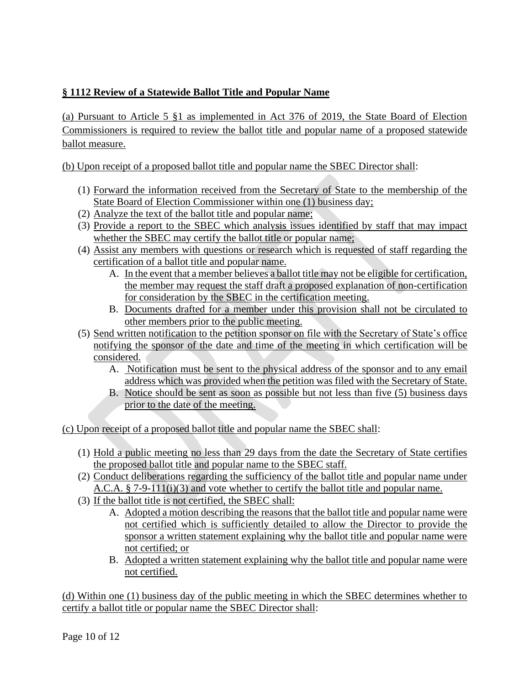# **§ 1112 Review of a Statewide Ballot Title and Popular Name**

(a) Pursuant to Article 5 §1 as implemented in Act 376 of 2019, the State Board of Election Commissioners is required to review the ballot title and popular name of a proposed statewide ballot measure.

(b) Upon receipt of a proposed ballot title and popular name the SBEC Director shall:

- (1) Forward the information received from the Secretary of State to the membership of the State Board of Election Commissioner within one (1) business day;
- (2) Analyze the text of the ballot title and popular name;
- (3) Provide a report to the SBEC which analysis issues identified by staff that may impact whether the SBEC may certify the ballot title or popular name;
- (4) Assist any members with questions or research which is requested of staff regarding the certification of a ballot title and popular name.
	- A. In the event that a member believes a ballot title may not be eligible for certification, the member may request the staff draft a proposed explanation of non-certification for consideration by the SBEC in the certification meeting.
	- B. Documents drafted for a member under this provision shall not be circulated to other members prior to the public meeting.
- (5) Send written notification to the petition sponsor on file with the Secretary of State's office notifying the sponsor of the date and time of the meeting in which certification will be considered.
	- A. Notification must be sent to the physical address of the sponsor and to any email address which was provided when the petition was filed with the Secretary of State.
	- B. Notice should be sent as soon as possible but not less than five (5) business days prior to the date of the meeting.

(c) Upon receipt of a proposed ballot title and popular name the SBEC shall:

- (1) Hold a public meeting no less than 29 days from the date the Secretary of State certifies the proposed ballot title and popular name to the SBEC staff.
- (2) Conduct deliberations regarding the sufficiency of the ballot title and popular name under A.C.A. § 7-9-111(i)(3) and vote whether to certify the ballot title and popular name.
- (3) If the ballot title is not certified, the SBEC shall:
	- A. Adopted a motion describing the reasons that the ballot title and popular name were not certified which is sufficiently detailed to allow the Director to provide the sponsor a written statement explaining why the ballot title and popular name were not certified; or
	- B. Adopted a written statement explaining why the ballot title and popular name were not certified.

(d) Within one (1) business day of the public meeting in which the SBEC determines whether to certify a ballot title or popular name the SBEC Director shall: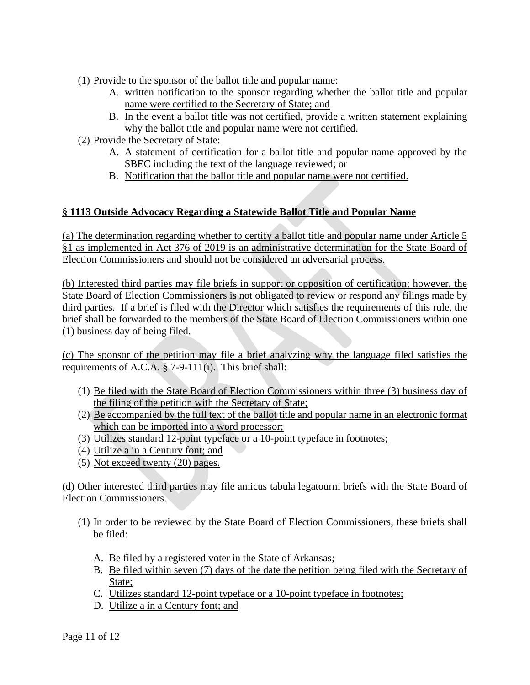- (1) Provide to the sponsor of the ballot title and popular name:
	- A. written notification to the sponsor regarding whether the ballot title and popular name were certified to the Secretary of State; and
	- B. In the event a ballot title was not certified, provide a written statement explaining why the ballot title and popular name were not certified.
- (2) Provide the Secretary of State:
	- A. A statement of certification for a ballot title and popular name approved by the SBEC including the text of the language reviewed; or
	- B. Notification that the ballot title and popular name were not certified.

## **§ 1113 Outside Advocacy Regarding a Statewide Ballot Title and Popular Name**

(a) The determination regarding whether to certify a ballot title and popular name under Article 5 §1 as implemented in Act 376 of 2019 is an administrative determination for the State Board of Election Commissioners and should not be considered an adversarial process.

(b) Interested third parties may file briefs in support or opposition of certification; however, the State Board of Election Commissioners is not obligated to review or respond any filings made by third parties. If a brief is filed with the Director which satisfies the requirements of this rule, the brief shall be forwarded to the members of the State Board of Election Commissioners within one (1) business day of being filed.

(c) The sponsor of the petition may file a brief analyzing why the language filed satisfies the requirements of A.C.A. § 7-9-111(i). This brief shall:

- (1) Be filed with the State Board of Election Commissioners within three (3) business day of the filing of the petition with the Secretary of State;
- (2) Be accompanied by the full text of the ballot title and popular name in an electronic format which can be imported into a word processor;
- (3) Utilizes standard 12-point typeface or a 10-point typeface in footnotes;
- (4) Utilize a in a Century font; and
- (5) Not exceed twenty (20) pages.

(d) Other interested third parties may file amicus tabula legatourm briefs with the State Board of Election Commissioners.

#### (1) In order to be reviewed by the State Board of Election Commissioners, these briefs shall be filed:

- A. Be filed by a registered voter in the State of Arkansas;
- B. Be filed within seven (7) days of the date the petition being filed with the Secretary of State:
- C. Utilizes standard 12-point typeface or a 10-point typeface in footnotes;
- D. Utilize a in a Century font; and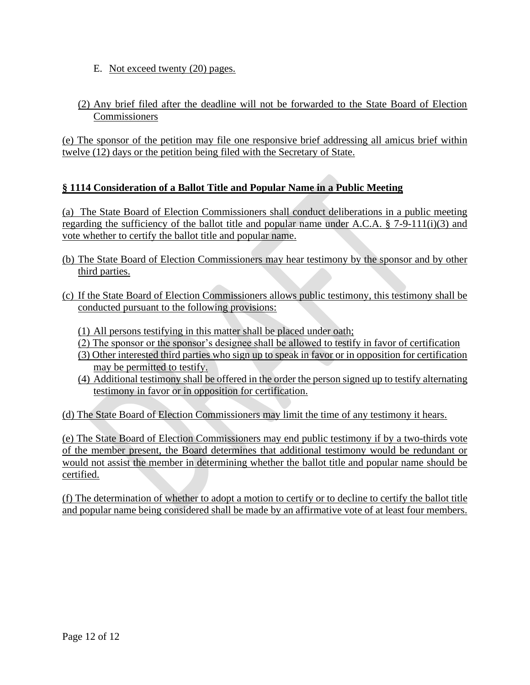- E. Not exceed twenty (20) pages.
- (2) Any brief filed after the deadline will not be forwarded to the State Board of Election Commissioners

(e) The sponsor of the petition may file one responsive brief addressing all amicus brief within twelve (12) days or the petition being filed with the Secretary of State.

## **§ 1114 Consideration of a Ballot Title and Popular Name in a Public Meeting**

(a) The State Board of Election Commissioners shall conduct deliberations in a public meeting regarding the sufficiency of the ballot title and popular name under A.C.A. § 7-9-111(i)(3) and vote whether to certify the ballot title and popular name.

- (b) The State Board of Election Commissioners may hear testimony by the sponsor and by other third parties.
- (c) If the State Board of Election Commissioners allows public testimony, this testimony shall be conducted pursuant to the following provisions:
	- (1) All persons testifying in this matter shall be placed under oath;
	- (2) The sponsor or the sponsor's designee shall be allowed to testify in favor of certification
	- (3) Other interested third parties who sign up to speak in favor or in opposition for certification may be permitted to testify.
	- (4) Additional testimony shall be offered in the order the person signed up to testify alternating testimony in favor or in opposition for certification.

(d) The State Board of Election Commissioners may limit the time of any testimony it hears.

(e) The State Board of Election Commissioners may end public testimony if by a two-thirds vote of the member present, the Board determines that additional testimony would be redundant or would not assist the member in determining whether the ballot title and popular name should be certified.

(f) The determination of whether to adopt a motion to certify or to decline to certify the ballot title and popular name being considered shall be made by an affirmative vote of at least four members.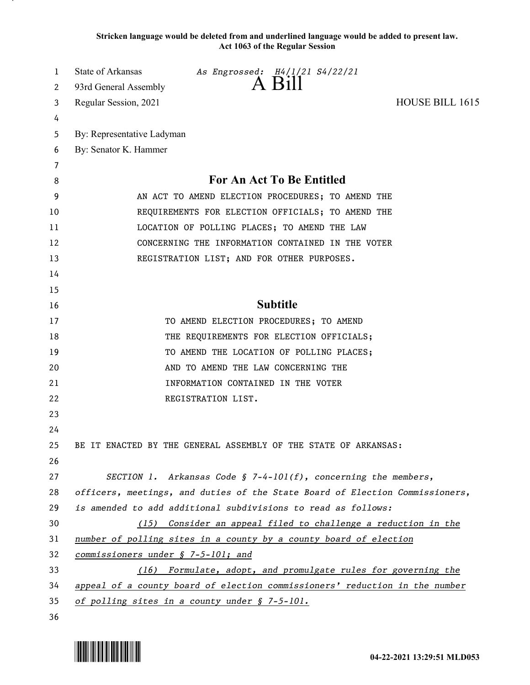**Stricken language would be deleted from and underlined language would be added to present law. Act 1063 of the Regular Session**

| 1  | State of Arkansas<br><i>As Engrossed: 14/1/21 S4/22/21</i>                   |
|----|------------------------------------------------------------------------------|
| 2  | A Bill<br>93rd General Assembly                                              |
| 3  | HOUSE BILL 1615<br>Regular Session, 2021                                     |
| 4  |                                                                              |
| 5  | By: Representative Ladyman                                                   |
| 6  | By: Senator K. Hammer                                                        |
| 7  |                                                                              |
| 8  | <b>For An Act To Be Entitled</b>                                             |
| 9  | AN ACT TO AMEND ELECTION PROCEDURES; TO AMEND THE                            |
| 10 | REQUIREMENTS FOR ELECTION OFFICIALS; TO AMEND THE                            |
| 11 | LOCATION OF POLLING PLACES; TO AMEND THE LAW                                 |
| 12 | CONCERNING THE INFORMATION CONTAINED IN THE VOTER                            |
| 13 | REGISTRATION LIST; AND FOR OTHER PURPOSES.                                   |
| 14 |                                                                              |
| 15 |                                                                              |
| 16 | <b>Subtitle</b>                                                              |
| 17 | TO AMEND ELECTION PROCEDURES; TO AMEND                                       |
| 18 | THE REQUIREMENTS FOR ELECTION OFFICIALS;                                     |
| 19 | TO AMEND THE LOCATION OF POLLING PLACES;                                     |
| 20 | AND TO AMEND THE LAW CONCERNING THE                                          |
| 21 | INFORMATION CONTAINED IN THE VOTER                                           |
| 22 | REGISTRATION LIST.                                                           |
| 23 |                                                                              |
| 24 |                                                                              |
| 25 | BE IT ENACTED BY THE GENERAL ASSEMBLY OF THE STATE OF ARKANSAS:              |
| 26 |                                                                              |
| 27 | SECTION 1. Arkansas Code $\S$ 7-4-101(f), concerning the members,            |
| 28 | officers, meetings, and duties of the State Board of Election Commissioners, |
| 29 | is amended to add additional subdivisions to read as follows:                |
| 30 | (15) Consider an appeal filed to challenge a reduction in the                |
| 31 | number of polling sites in a county by a county board of election            |
| 32 | commissioners under § 7-5-101; and                                           |
| 33 | (16) Formulate, adopt, and promulgate rules for governing the                |
| 34 | appeal of a county board of election commissioners' reduction in the number  |
| 35 | of polling sites in a county under § 7-5-101.                                |

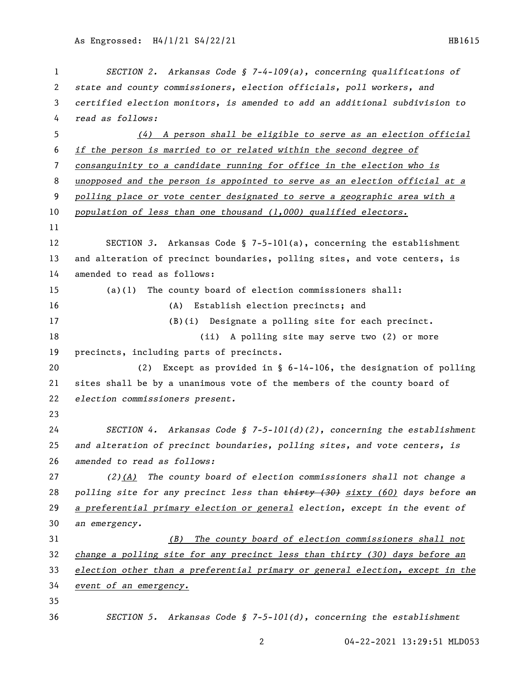| 1  | SECTION 2. Arkansas Code § 7-4-109(a), concerning qualifications of                  |
|----|--------------------------------------------------------------------------------------|
| 2  | state and county commissioners, election officials, poll workers, and                |
| 3  | certified election monitors, is amended to add an additional subdivision to          |
| 4  | read as follows:                                                                     |
| 5  | $(4)$ A person shall be eligible to serve as an election official                    |
| 6  | if the person is married to or related within the second degree of                   |
| 7  | consanguinity to a candidate running for office in the election who is               |
| 8  | unopposed and the person is appointed to serve as an election official at a          |
| 9  | polling place or vote center designated to serve a geographic area with a            |
| 10 | population of less than one thousand (1,000) qualified electors.                     |
| 11 |                                                                                      |
| 12 | SECTION 3. Arkansas Code § 7-5-101(a), concerning the establishment                  |
| 13 | and alteration of precinct boundaries, polling sites, and vote centers, is           |
| 14 | amended to read as follows:                                                          |
| 15 | The county board of election commissioners shall:<br>(a)(1)                          |
| 16 | Establish election precincts; and<br>(A)                                             |
| 17 | Designate a polling site for each precinct.<br>(B)(i)                                |
| 18 | (ii) A polling site may serve two (2) or more                                        |
| 19 | precincts, including parts of precincts.                                             |
| 20 | Except as provided in $\S$ 6-14-106, the designation of polling<br>(2)               |
| 21 | sites shall be by a unanimous vote of the members of the county board of             |
| 22 | election commissioners present.                                                      |
| 23 |                                                                                      |
| 24 | SECTION 4. Arkansas Code § 7-5-101(d)(2), concerning the establishment               |
| 25 | and alteration of precinct boundaries, polling sites, and vote centers, is           |
| 26 | amended to read as follows:                                                          |
| 27 | $(2)$ (A) The county board of election commissioners shall not change a              |
| 28 | polling site for any precinct less than $\frac{1}{2}$ (30) sixty (60) days before an |
| 29 | a preferential primary election or general election, except in the event of          |
| 30 | an emergency.                                                                        |
| 31 | The county board of election commissioners shall not<br>(B)                          |
| 32 | change a polling site for any precinct less than thirty (30) days before an          |
| 33 | election other than a preferential primary or general election, except in the        |
| 34 | event of an emergency.                                                               |
| 35 |                                                                                      |
| 36 | SECTION 5. Arkansas Code § 7-5-101(d), concerning the establishment                  |

04-22-2021 13:29:51 MLD053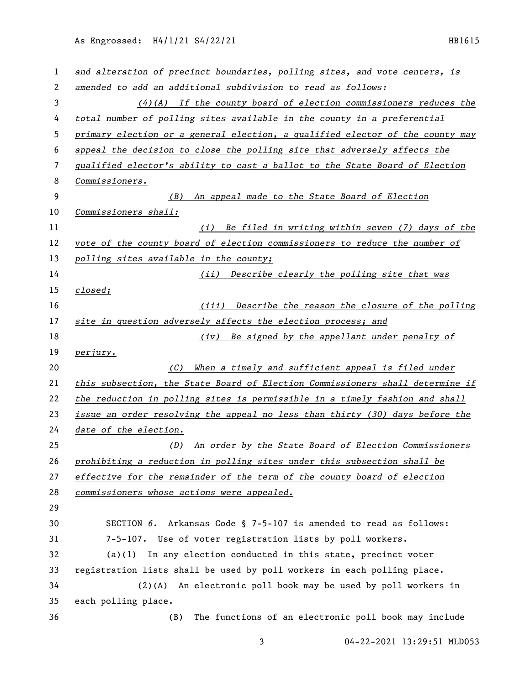| 1  | and alteration of precinct boundaries, polling sites, and vote centers, is    |
|----|-------------------------------------------------------------------------------|
| 2  | amended to add an additional subdivision to read as follows:                  |
| 3  | $(4)$ (A) If the county board of election commissioners reduces the           |
| 4  | total number of polling sites available in the county in a preferential       |
| 5  | primary election or a general election, a qualified elector of the county may |
| 6  | appeal the decision to close the polling site that adversely affects the      |
| 7  | qualified elector's ability to cast a ballot to the State Board of Election   |
| 8  | Commissioners.                                                                |
| 9  | (B) An appeal made to the State Board of Election                             |
| 10 | Commissioners shall:                                                          |
| 11 | (i) Be filed in writing within seven (7) days of the                          |
| 12 | vote of the county board of election commissioners to reduce the number of    |
| 13 | polling sites available in the county;                                        |
| 14 | (ii) Describe clearly the polling site that was                               |
| 15 | closed;                                                                       |
| 16 | (iii) Describe the reason the closure of the polling                          |
| 17 | site in question adversely affects the election process; and                  |
| 18 | Be signed by the appellant under penalty of<br>(iv)                           |
| 19 | perjury.                                                                      |
| 20 | When a timely and sufficient appeal is filed under<br>(C)                     |
| 21 | this subsection, the State Board of Election Commissioners shall determine if |
| 22 |                                                                               |
|    | the reduction in polling sites is permissible in a timely fashion and shall   |
| 23 | issue an order resolving the appeal no less than thirty (30) days before the  |
| 24 | date of the election.                                                         |
| 25 | An order by the State Board of Election Commissioners<br>(D)                  |
| 26 | prohibiting a reduction in polling sites under this subsection shall be       |
| 27 | effective for the remainder of the term of the county board of election       |
| 28 | commissioners whose actions were appealed.                                    |
| 29 |                                                                               |
| 30 | SECTION 6. Arkansas Code § 7-5-107 is amended to read as follows:             |
| 31 | 7-5-107. Use of voter registration lists by poll workers.                     |
| 32 | $(a)(1)$ In any election conducted in this state, precinct voter              |
| 33 | registration lists shall be used by poll workers in each polling place.       |
| 34 | $(2)$ (A)<br>An electronic poll book may be used by poll workers in           |
| 35 | each polling place.                                                           |

04-22-2021 13:29:51 MLD053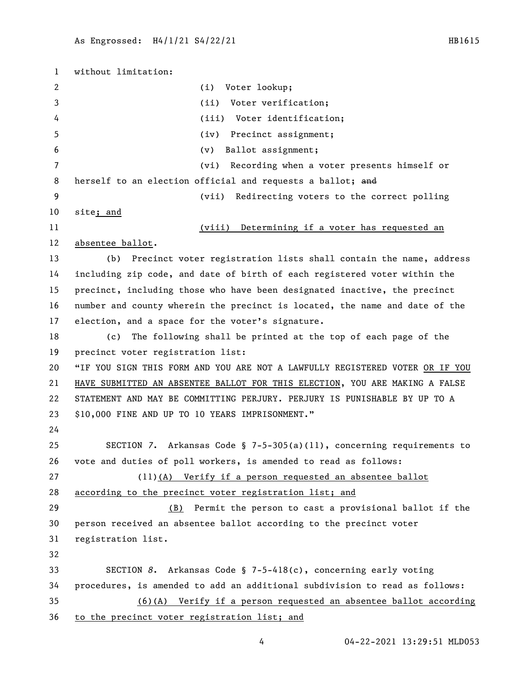without limitation: (i) Voter lookup; (ii) Voter verification; (iii) Voter identification; (iv) Precinct assignment; (v) Ballot assignment; (vi) Recording when a voter presents himself or 8 herself to an election official and requests a ballot; and (vii) Redirecting voters to the correct polling site; and (viii) Determining if a voter has requested an absentee ballot. (b) Precinct voter registration lists shall contain the name, address including zip code, and date of birth of each registered voter within the precinct, including those who have been designated inactive, the precinct number and county wherein the precinct is located, the name and date of the election, and a space for the voter's signature. (c) The following shall be printed at the top of each page of the precinct voter registration list: "IF YOU SIGN THIS FORM AND YOU ARE NOT A LAWFULLY REGISTERED VOTER OR IF YOU HAVE SUBMITTED AN ABSENTEE BALLOT FOR THIS ELECTION, YOU ARE MAKING A FALSE STATEMENT AND MAY BE COMMITTING PERJURY. PERJURY IS PUNISHABLE BY UP TO A \$10,000 FINE AND UP TO 10 YEARS IMPRISONMENT." SECTION *7*. Arkansas Code § 7-5-305(a)(11), concerning requirements to vote and duties of poll workers, is amended to read as follows: (11)(A) Verify if a person requested an absentee ballot according to the precinct voter registration list; and (B) Permit the person to cast a provisional ballot if the person received an absentee ballot according to the precinct voter registration list. SECTION *8*. Arkansas Code § 7-5-418(c), concerning early voting procedures, is amended to add an additional subdivision to read as follows: (6)(A) Verify if a person requested an absentee ballot according to the precinct voter registration list; and